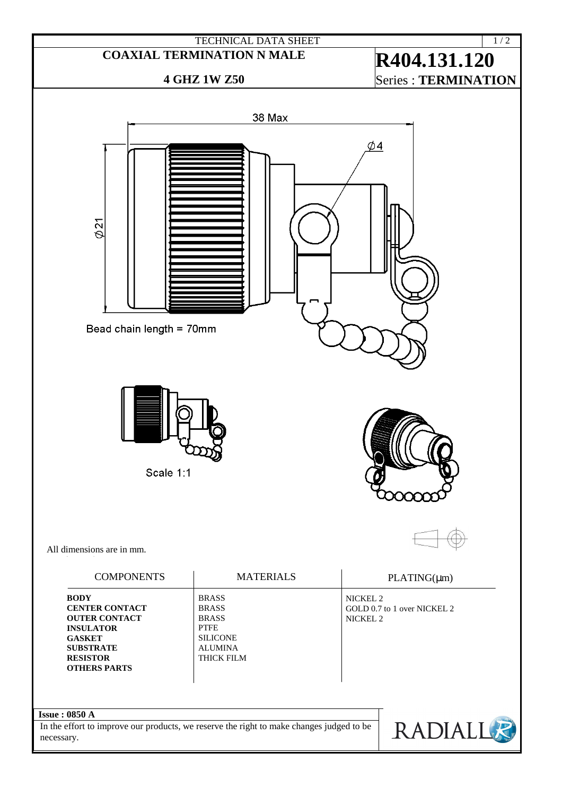